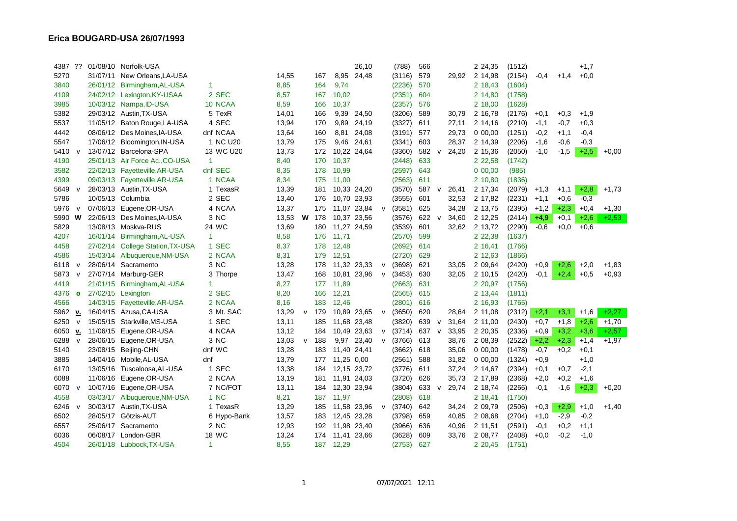| 4387 ?? |              |          | 01/08/10 Norfolk-USA           |                      |       |              |              |             | 26,10 |              | (788)  | 566   |              |       | 2 24,35  | (1512) |        |        | $+1,7$ |         |
|---------|--------------|----------|--------------------------------|----------------------|-------|--------------|--------------|-------------|-------|--------------|--------|-------|--------------|-------|----------|--------|--------|--------|--------|---------|
| 5270    |              |          | 31/07/11 New Orleans, LA-USA   |                      | 14,55 |              | 167          | 8,95        | 24,48 |              | (3116) | 579   |              | 29,92 | 2 14,98  | (2154) | $-0,4$ | $+1,4$ | $+0,0$ |         |
| 3840    |              |          | 26/01/12 Birmingham, AL-USA    | $\blacktriangleleft$ | 8,85  |              | 164          | 9,74        |       |              | (2236) | 570   |              |       | 2 18,43  | (1604) |        |        |        |         |
| 4109    |              |          | 24/02/12 Lexington, KY-USAA    | 2 SEC                | 8,57  |              | 167          | 10,02       |       |              | (2351) | 604   |              |       | 2 14,80  | (1758) |        |        |        |         |
| 3985    |              |          | 10/03/12 Nampa, ID-USA         | 10 NCAA              | 8,59  |              | 166          | 10,37       |       |              | (2357) | 576   |              |       | 2 18,00  | (1628) |        |        |        |         |
| 5382    |              |          | 29/03/12 Austin, TX-USA        | 5 TexR               | 14,01 |              | 166          | 9,39        | 24,50 |              | (3206) | 589   |              | 30,79 | 2 16,78  | (2176) | $+0,1$ | $+0,3$ | $+1,9$ |         |
| 5537    |              |          | 11/05/12 Baton Rouge, LA-USA   | 4 SEC                | 13,94 |              | 170          | 9,89        | 24,19 |              | (3327) | 611   |              | 27,11 | 2 14,16  | (2210) | $-1,1$ | $-0,7$ | $+0,3$ |         |
| 4442    |              |          | 08/06/12 Des Moines, IA-USA    | dnf NCAA             | 13,64 |              | 160          | 8,81        | 24,08 |              | (3191) | 577   |              | 29,73 | 0 00,00  | (1251) | $-0,2$ | $+1,1$ | $-0,4$ |         |
| 5547    |              |          | 17/06/12 Bloomington, IN-USA   | 1 NC U <sub>20</sub> | 13,79 |              | 175          | 9,46        | 24,61 |              | (3341) | 603   |              | 28,37 | 2 14,39  | (2206) | $-1,6$ | $-0,6$ | $-0.3$ |         |
| 5410    | $\mathsf{v}$ |          | 13/07/12 Barcelona-SPA         | 13 WC U20            | 13,73 |              | 172          | 10,22 24,64 |       |              | (3360) | 582   | V            | 24,20 | 2 15,36  | (2050) | $-1,0$ | $-1,5$ | $+2,5$ | $+0.00$ |
| 4190    |              |          | 25/01/13 Air Force Ac., CO-USA | $\mathbf 1$          | 8,40  |              | 170          | 10,37       |       |              | (2448) | 633   |              |       | 2 2 2,58 | (1742) |        |        |        |         |
| 3582    |              |          | 22/02/13 Fayetteville, AR-USA  | dnf SEC              | 8,35  |              | 178          | 10,99       |       |              | (2597) | 643   |              |       | 0 00,00  | (985)  |        |        |        |         |
| 4399    |              |          | 09/03/13 Fayetteville, AR-USA  | 1 NCAA               | 8,34  |              | 175          | 11,00       |       |              | (2563) | 611   |              |       | 2 10,80  | (1836) |        |        |        |         |
| 5649    | $\mathsf{v}$ |          | 28/03/13 Austin, TX-USA        | 1 TexasR             | 13,39 |              | 181          | 10,33 24,20 |       |              | (3570) | 587 v |              | 26,41 | 2 17,34  | (2079) | $+1,3$ | $+1,1$ | $+2,8$ | $+1,73$ |
| 5786    |              |          | 10/05/13 Columbia              | 2 SEC                | 13,40 |              | 176          | 10,70 23,93 |       |              | (3555) | 601   |              | 32,53 | 2 17,82  | (2231) | $+1,1$ | $+0,6$ | $-0,3$ |         |
| 5976    | $\mathsf{v}$ |          | 07/06/13 Eugene, OR-USA        | 4 NCAA               | 13,37 |              | 175          | 11,07 23,84 |       | V            | (3581) | 625   |              | 34,28 | 2 13,75  | (2395) | $+1,2$ | $+2,3$ | $+0,4$ | $+1,30$ |
| 5990 W  |              |          | 22/06/13 Des Moines, IA-USA    | 3 NC                 | 13,53 |              | <b>W</b> 178 | 10,37 23,56 |       |              | (3576) | 622   | V            | 34,60 | 2 12,25  | (2414) | $+4,9$ | $+0,1$ | $+2,6$ | $+2,53$ |
| 5829    |              |          | 13/08/13 Moskva-RUS            | 24 WC                | 13,69 |              | 180          | 11,27 24,59 |       |              | (3539) | 601   |              | 32,62 | 2 13,72  | (2290) | $-0.6$ | $+0,0$ | $+0.6$ |         |
| 4207    |              |          | 16/01/14 Birmingham, AL-USA    | $\overline{1}$       | 8,58  |              | 176          | 11,71       |       |              | (2570) | 599   |              |       | 2 2 2,38 | (1637) |        |        |        |         |
| 4458    |              | 27/02/14 | <b>College Station, TX-USA</b> | 1 SEC                | 8,37  |              | 178          | 12,48       |       |              | (2692) | 614   |              |       | 2 16,41  | (1766) |        |        |        |         |
| 4586    |              |          | 15/03/14 Albuquerque, NM-USA   | 2 NCAA               | 8,31  |              | 179          | 12,51       |       |              | (2720) | 629   |              |       | 2 12,63  | (1866) |        |        |        |         |
| 6118    | $\mathsf{v}$ |          | 28/06/14 Sacramento            | 3 NC                 | 13,28 |              | 178          | 11,32 23,33 |       | $\mathsf{v}$ | (3698) | 621   |              | 33,05 | 2 09.64  | (2420) | $+0.9$ | $+2,6$ | $+2,0$ | $+1,83$ |
| 5873    | $\mathsf{V}$ |          | 27/07/14 Marburg-GER           | 3 Thorpe             | 13,47 |              | 168          | 10,81 23,96 |       | $\mathsf{v}$ | (3453) | 630   |              | 32,05 | 2 10,15  | (2420) | $-0.1$ | $+2,4$ | $+0,5$ | $+0,93$ |
| 4419    |              |          | 21/01/15 Birmingham, AL-USA    | -1                   | 8,27  |              | 177          | 11,89       |       |              | (2663) | 631   |              |       | 2 20,97  | (1756) |        |        |        |         |
| 4376    | $\bullet$    |          | 27/02/15 Lexington             | 2 SEC                | 8,20  |              | 166          | 12,21       |       |              | (2565) | 615   |              |       | 2 13,44  | (1811) |        |        |        |         |
| 4566    |              |          | 14/03/15 Fayetteville, AR-USA  | 2 NCAA               | 8,16  |              | 183          | 12,46       |       |              | (2801) | 616   |              |       | 2 16,93  | (1765) |        |        |        |         |
| 5962    | $u$          |          | 16/04/15 Azusa, CA-USA         | 3 Mt. SAC            | 13,29 | v            | 179          | 10,89 23,65 |       | $\mathsf{v}$ | (3650) | 620   |              | 28,64 | 2 11,08  | (2312) | $+2,1$ | $+3,1$ | $+1,6$ | $+2,27$ |
| 6250    | $\mathsf{V}$ |          | 15/05/15 Starkville, MS-USA    | 1 SEC                | 13,11 |              | 185          | 11,68 23,48 |       |              | (3820) | 639   | $\mathsf{v}$ | 31,64 | 2 11,00  | (2430) | $+0,7$ | $+1,8$ | $+2,6$ | $+1,70$ |
| 6050    | v.           |          | 11/06/15 Eugene, OR-USA        | 4 NCAA               | 13,12 |              | 184          | 10,49 23,63 |       | v            | (3714) | 637   | V            | 33,95 | 2 20,35  | (2336) | $+0,9$ | $+3,2$ | $+3,6$ | $+2,57$ |
| 6288    | $\mathsf{v}$ |          | 28/06/15 Eugene, OR-USA        | 3 NC                 | 13,03 | $\mathsf{v}$ | 188          | 9,97        | 23,40 | $\mathsf{v}$ | (3766) | 613   |              | 38,76 | 2 08,39  | (2522) | $+2,2$ | $+2,3$ | $+1,4$ | $+1,97$ |
| 5140    |              |          | 23/08/15 Beijing-CHN           | dnf WC               | 13,28 |              | 183          | 11,40 24,41 |       |              | (3662) | 618   |              | 35,06 | 0 00,00  | (1478) | $-0,7$ | $+0,2$ | $+0,1$ |         |
| 3885    |              |          | 14/04/16 Mobile, AL-USA        | dnf                  | 13,79 |              | 177          | 11,25 0,00  |       |              | (2561) | 588   |              | 31,82 | 0 00,00  | (1324) | $+0,9$ |        | $+1,0$ |         |
| 6170    |              |          | 13/05/16 Tuscaloosa, AL-USA    | 1 SEC                | 13,38 |              | 184          | 12,15 23,72 |       |              | (3776) | 611   |              | 37,24 | 2 14,67  | (2394) | $+0,1$ | $+0,7$ | $-2,1$ |         |
| 6088    |              |          | 11/06/16 Eugene, OR-USA        | 2 NCAA               | 13,19 |              | 181          | 11,91 24,03 |       |              | (3720) | 626   |              | 35,73 | 2 17,89  | (2368) | $+2,0$ | $+0,2$ | $+1,6$ |         |
| 6070 v  |              |          | 10/07/16 Eugene, OR-USA        | 7 NC/FOT             | 13,11 |              | 184          | 12,30 23,94 |       |              | (3804) | 633   | $\mathsf{v}$ | 29,74 | 2 18,74  | (2266) | $-0,1$ | $-1,6$ | $+2,3$ | $+0,20$ |
| 4558    |              |          | 03/03/17 Albuquerque, NM-USA   | 1 NC                 | 8,21  |              | 187          | 11,97       |       |              | (2808) | 618   |              |       | 2 18,41  | (1750) |        |        |        |         |
| 6246    | $\mathsf{v}$ |          | 30/03/17 Austin, TX-USA        | 1 TexasR             | 13,29 |              | 185          | 11,58 23,96 |       | $\mathsf{v}$ | (3740) | 642   |              | 34,24 | 2 09,79  | (2506) | $+0,3$ | $+2,9$ | $+1,0$ | $+1,40$ |
| 6502    |              |          | 28/05/17 Götzis-AUT            | 6 Hypo-Bank          | 13,57 |              | 183          | 12,45 23,28 |       |              | (3798) | 659   |              | 40,85 | 2 08,68  | (2704) | $+1,0$ | $-2,9$ | $-0,2$ |         |
| 6557    |              |          | 25/06/17 Sacramento            | 2 NC                 | 12,93 |              | 192          | 11,98 23,40 |       |              | (3966) | 636   |              | 40,96 | 2 11,51  | (2591) | $-0,1$ | $+0,2$ | $+1,1$ |         |
| 6036    |              |          | 06/08/17 London-GBR            | 18 WC                | 13,24 |              | 174          | 11,41 23,66 |       |              | (3628) | 609   |              | 33,76 | 2 08,77  | (2408) | $+0.0$ | $-0,2$ | $-1,0$ |         |
| 4504    |              |          | 26/01/18 Lubbock, TX-USA       | -1                   | 8,55  |              | 187          | 12,29       |       |              | (2753) | 627   |              |       | 2 20,45  | (1751) |        |        |        |         |

1 07/07/2021 12:11